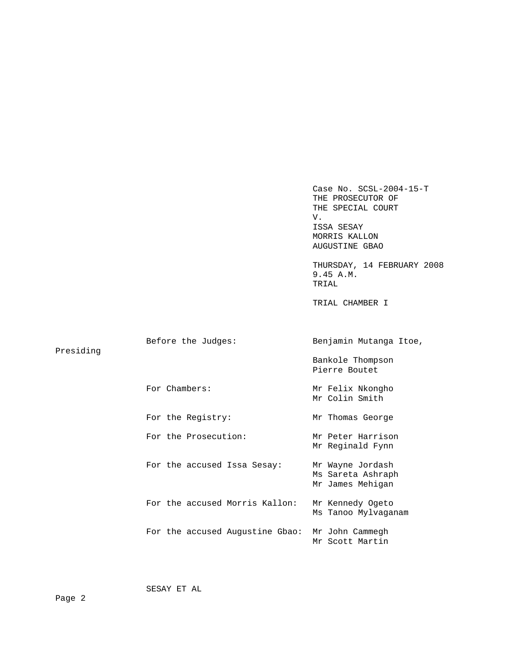Case No. SCSL-2004-15-T THE PROSECUTOR OF THE SPECIAL COURT V. ISSA SESAY MORRIS KALLON AUGUSTINE GBAO THURSDAY, 14 FEBRUARY 2008 9.45 A.M. TRIAL TRIAL CHAMBER I Before the Judges: Benjamin Mutanga Itoe, Presiding Bankole Thompson Pierre Boutet For Chambers: Mr Felix Nkongho Mr Colin Smith For the Registry: Mr Thomas George For the Prosecution: Mr Peter Harrison Mr Reginald Fynn For the accused Issa Sesay: Mr Wayne Jordash Ms Sareta Ashraph Mr James Mehigan For the accused Morris Kallon: Mr Kennedy Ogeto Ms Tanoo Mylvaganam For the accused Augustine Gbao: Mr John Cammegh Mr Scott Martin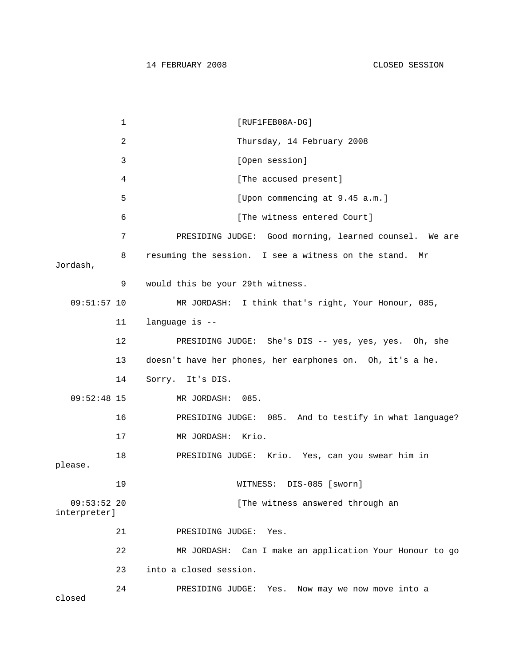1 [RUF1FEB08A-DG] 2 Thursday, 14 February 2008 3 [Open session] 4 [The accused present] 5 [Upon commencing at 9.45 a.m.] 6 [The witness entered Court] 7 PRESIDING JUDGE: Good morning, learned counsel. We are 8 resuming the session. I see a witness on the stand. Mr Jordash, 9 would this be your 29th witness. 09:51:57 10 MR JORDASH: I think that's right, Your Honour, 085, 11 language is -- 12 PRESIDING JUDGE: She's DIS -- yes, yes, yes. Oh, she 13 doesn't have her phones, her earphones on. Oh, it's a he. 14 Sorry. It's DIS. 09:52:48 15 MR JORDASH: 085. 16 PRESIDING JUDGE: 085. And to testify in what language? 17 MR JORDASH: Krio. 18 PRESIDING JUDGE: Krio. Yes, can you swear him in please. 19 WITNESS: DIS-085 [sworn] 09:53:52 20 [The witness answered through an interpreter] 21 PRESIDING JUDGE: Yes. 22 MR JORDASH: Can I make an application Your Honour to go 23 into a closed session. 24 PRESIDING JUDGE: Yes. Now may we now move into a closed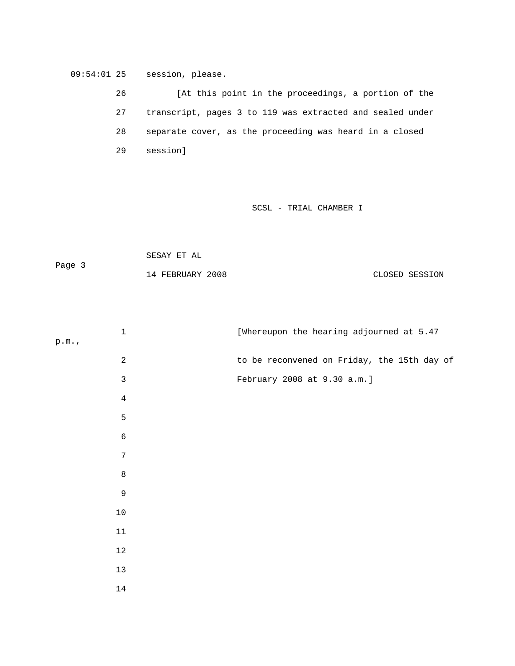09:54:01 25 session, please.

 26 [At this point in the proceedings, a portion of the 27 transcript, pages 3 to 119 was extracted and sealed under 28 separate cover, as the proceeding was heard in a closed 29 session]

SCSL - TRIAL CHAMBER I

 SESAY ET AL Page 3 14 FEBRUARY 2008 CLOSED SESSION

| $\mathbf 1$       | [Whereupon the hearing adjourned at 5.47    |
|-------------------|---------------------------------------------|
| $\texttt{p.m.}$ , |                                             |
| $\overline{c}$    | to be reconvened on Friday, the 15th day of |
| $\mathfrak{Z}$    | February 2008 at 9.30 a.m.]                 |
| $\overline{4}$    |                                             |
| 5                 |                                             |
| $\epsilon$        |                                             |
| $\sqrt{ }$        |                                             |
| $\,8\,$           |                                             |
| $\mathsf 9$       |                                             |
| $10$              |                                             |
| $11\,$            |                                             |
| $12\,$            |                                             |
| $13$              |                                             |
| $14\,$            |                                             |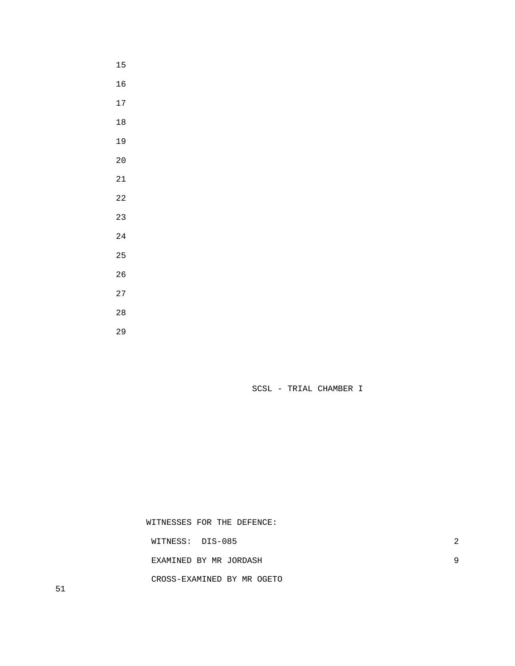SCSL - TRIAL CHAMBER I

 WITNESSES FOR THE DEFENCE: WITNESS: DIS-085 2 EXAMINED BY MR JORDASH 9 CROSS-EXAMINED BY MR OGETO